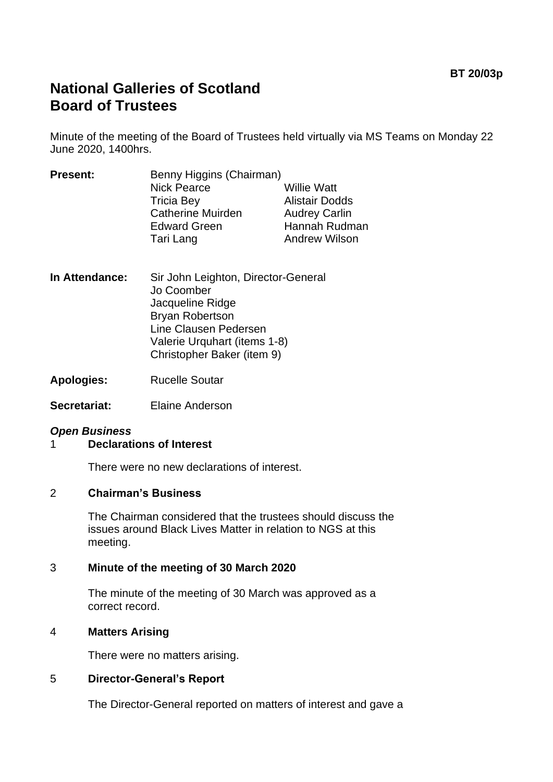# **National Galleries of Scotland Board of Trustees**

Minute of the meeting of the Board of Trustees held virtually via MS Teams on Monday 22 June 2020, 1400hrs.

| <b>Present:</b> | Benny Higgins (Chairman) |                       |
|-----------------|--------------------------|-----------------------|
|                 | <b>Nick Pearce</b>       | <b>Willie Watt</b>    |
|                 | <b>Tricia Bey</b>        | <b>Alistair Dodds</b> |
|                 | <b>Catherine Muirden</b> | <b>Audrey Carlin</b>  |
|                 | <b>Edward Green</b>      | Hannah Rudman         |
|                 | Tari Lang                | <b>Andrew Wilson</b>  |
|                 |                          |                       |

**In Attendance:** Sir John Leighton, Director-General Jo Coomber Jacqueline Ridge Bryan Robertson Line Clausen Pedersen Valerie Urquhart (items 1-8) Christopher Baker (item 9)

**Apologies:** Rucelle Soutar

**Secretariat:** Elaine Anderson

## *Open Business*

## 1 **Declarations of Interest**

There were no new declarations of interest.

### 2 **Chairman's Business**

The Chairman considered that the trustees should discuss the issues around Black Lives Matter in relation to NGS at this meeting.

### 3 **Minute of the meeting of 30 March 2020**

The minute of the meeting of 30 March was approved as a correct record.

### 4 **Matters Arising**

There were no matters arising.

### 5 **Director-General's Report**

The Director-General reported on matters of interest and gave a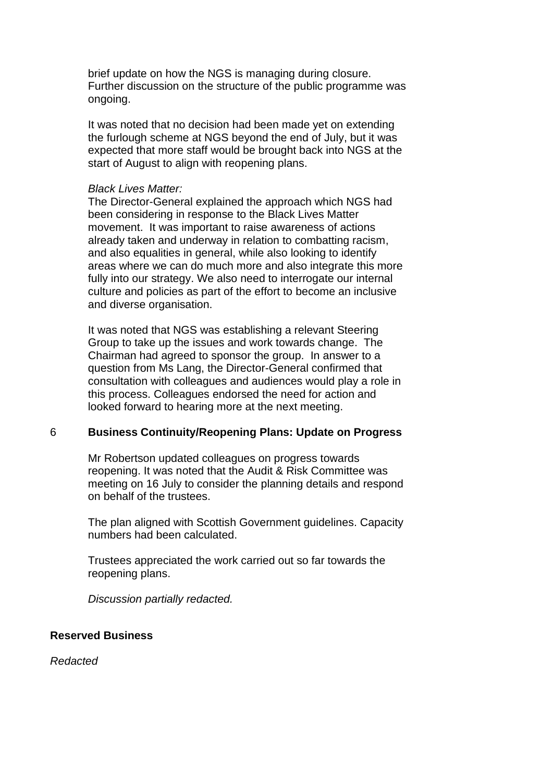brief update on how the NGS is managing during closure. Further discussion on the structure of the public programme was ongoing.

It was noted that no decision had been made yet on extending the furlough scheme at NGS beyond the end of July, but it was expected that more staff would be brought back into NGS at the start of August to align with reopening plans.

#### *Black Lives Matter:*

The Director-General explained the approach which NGS had been considering in response to the Black Lives Matter movement. It was important to raise awareness of actions already taken and underway in relation to combatting racism, and also equalities in general, while also looking to identify areas where we can do much more and also integrate this more fully into our strategy. We also need to interrogate our internal culture and policies as part of the effort to become an inclusive and diverse organisation.

It was noted that NGS was establishing a relevant Steering Group to take up the issues and work towards change. The Chairman had agreed to sponsor the group. In answer to a question from Ms Lang, the Director-General confirmed that consultation with colleagues and audiences would play a role in this process. Colleagues endorsed the need for action and looked forward to hearing more at the next meeting.

#### 6 **Business Continuity/Reopening Plans: Update on Progress**

Mr Robertson updated colleagues on progress towards reopening. It was noted that the Audit & Risk Committee was meeting on 16 July to consider the planning details and respond on behalf of the trustees.

The plan aligned with Scottish Government guidelines. Capacity numbers had been calculated.

Trustees appreciated the work carried out so far towards the reopening plans.

*Discussion partially redacted.*

## **Reserved Business**

*Redacted*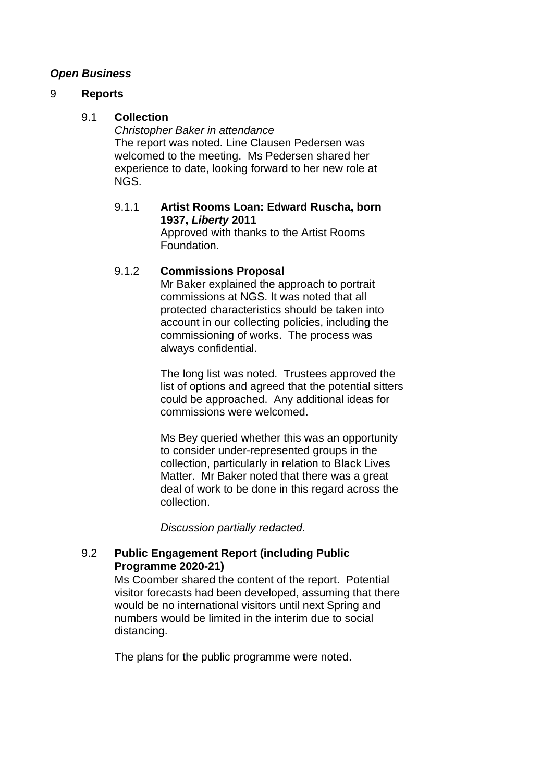## *Open Business*

#### 9 **Reports**

#### 9.1 **Collection**

*Christopher Baker in attendance* The report was noted. Line Clausen Pedersen was welcomed to the meeting. Ms Pedersen shared her experience to date, looking forward to her new role at NGS.

### 9.1.1 **Artist Rooms Loan: Edward Ruscha, born 1937,** *Liberty* **2011**

Approved with thanks to the Artist Rooms Foundation.

### 9.1.2 **Commissions Proposal**

Mr Baker explained the approach to portrait commissions at NGS. It was noted that all protected characteristics should be taken into account in our collecting policies, including the commissioning of works. The process was always confidential.

The long list was noted. Trustees approved the list of options and agreed that the potential sitters could be approached. Any additional ideas for commissions were welcomed.

Ms Bey queried whether this was an opportunity to consider under-represented groups in the collection, particularly in relation to Black Lives Matter. Mr Baker noted that there was a great deal of work to be done in this regard across the collection.

*Discussion partially redacted.*

### 9.2 **Public Engagement Report (including Public Programme 2020-21)**

Ms Coomber shared the content of the report. Potential visitor forecasts had been developed, assuming that there would be no international visitors until next Spring and numbers would be limited in the interim due to social distancing.

The plans for the public programme were noted.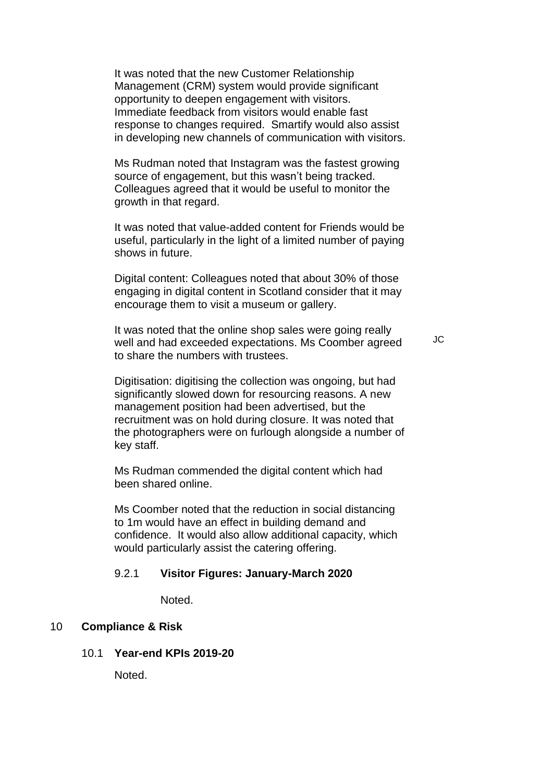It was noted that the new Customer Relationship Management (CRM) system would provide significant opportunity to deepen engagement with visitors. Immediate feedback from visitors would enable fast response to changes required. Smartify would also assist in developing new channels of communication with visitors.

Ms Rudman noted that Instagram was the fastest growing source of engagement, but this wasn't being tracked. Colleagues agreed that it would be useful to monitor the growth in that regard.

It was noted that value-added content for Friends would be useful, particularly in the light of a limited number of paying shows in future.

Digital content: Colleagues noted that about 30% of those engaging in digital content in Scotland consider that it may encourage them to visit a museum or gallery.

It was noted that the online shop sales were going really well and had exceeded expectations. Ms Coomber agreed to share the numbers with trustees.

Digitisation: digitising the collection was ongoing, but had significantly slowed down for resourcing reasons. A new management position had been advertised, but the recruitment was on hold during closure. It was noted that the photographers were on furlough alongside a number of key staff.

Ms Rudman commended the digital content which had been shared online.

Ms Coomber noted that the reduction in social distancing to 1m would have an effect in building demand and confidence. It would also allow additional capacity, which would particularly assist the catering offering.

#### 9.2.1 **Visitor Figures: January-March 2020**

Noted.

## 10 **Compliance & Risk**

#### 10.1 **Year-end KPIs 2019-20**

Noted.

JC